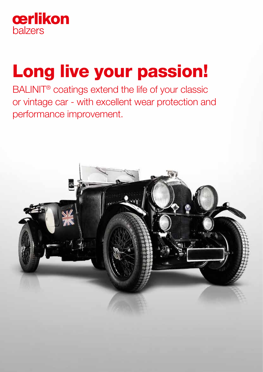

# Long live your passion!

BALINIT® coatings extend the life of your classic or vintage car - with excellent wear protection and performance improvement.

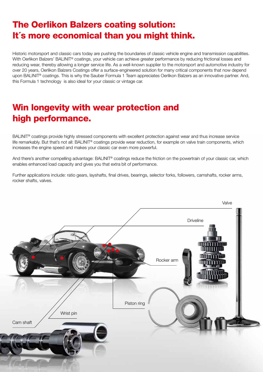# The Oerlikon Balzers coating solution: It´s more economical than you might think.

Historic motorsport and classic cars today are pushing the boundaries of classic vehicle engine and transmission capabilities. With Oerlikon Balzers' BALINIT® coatings, your vehicle can achieve greater performance by reducing frictional losses and reducing wear, thereby allowing a longer service life. As a well-known supplier to the motorsport and automotive industry for over 20 years, Oerlikon Balzers Coatings offer a surface-engineered solution for many critical components that now depend upon BALINIT® coatings. This is why the Sauber Formula 1 Team appreciates Oerlikon Balzers as an innovative partner. And, this Formula 1 technology is also ideal for your classic or vintage car.

# Win longevity with wear protection and high performance.

BALINIT® coatings provide highly stressed components with excellent protection against wear and thus increase service life remarkably. But that's not all: BALINIT® coatings provide wear reduction, for example on valve train components, which increases the engine speed and makes your classic car even more powerful.

And there's another compelling advantage: BALINIT<sup>®</sup> coatings reduce the friction on the powertrain of your classic car, which enables enhanced load capacity and gives you that extra bit of performance.

Further applications include: ratio gears, layshafts, final drives, bearings, selector forks, followers, camshafts, rocker arms, rocker shafts, valves.

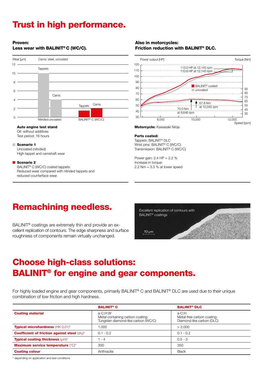# Trust in high performance.

### Proven:

### Less wear with BALINIT® C (WC/C).



#### Auto engine test stand

Oil: without additives Test period: 16 hours

#### Scenario 1

Uncoated (nitrided) High tappet and camshaft wear

#### Scenario 2

BALINIT® C (WC/C) coated tappets: Reduced wear compared with nitrided tappets and reduced counterface wear.

### Also in motorcycles: Friction reduction with BALINIT® DLC.



Motorcycle: Kawasaki Ninja

#### Parts coated:

Tappets: BALINIT® DLC Wrist pins: BALINIT® C (WC/C) Transmission: BALINIT® C (WC/C)

Power gain: 2.4 HP = 2.2 % Increase in torque: 2.2 Nm = 3.3 % at lower speed

## Remachining needless.

BALINIT<sup>®</sup> coatings are extremely thin and provide an excellent replication of contours. The edge sharpness and surface roughness of components remain virtually unchanged.



# Choose high-class solutions: BALINIT® for engine and gear components.

For highly loaded engine and gear components, primarily BALINIT® C and BALINIT® DLC are used due to their unique combination of low friction and high hardness.

|                                                         | <b>BALINIT<sup>®</sup> C</b>                                                       | <b>BALINIT<sup>®</sup> DLC</b>                                   |
|---------------------------------------------------------|------------------------------------------------------------------------------------|------------------------------------------------------------------|
| <b>Coating material</b>                                 | a-C:H:W<br>Metal-containing carbon coating:<br>Tungsten diamond-like carbon (WC/C) | a-C:H<br>Metal-free carbon coating:<br>Diamond-like carbon (DLC) |
| <b>Typical microhardness (HK 0.01)*</b>                 | 1.000                                                                              | > 2.000                                                          |
| <b>Coefficient of friction against steel (dry)*</b>     | $0.1 - 0.2$                                                                        | $0.1 - 0.2$                                                      |
| <b>Typical coating thickness <math>(\mu m)^*</math></b> | $1 - 4$                                                                            | $0.5 - 3$                                                        |
| <b>Maximum service temperature (°C)*</b>                | 300                                                                                | 350                                                              |
| <b>Coating colour</b>                                   | Anthracite                                                                         | <b>Black</b>                                                     |

\* depending on application and test conditions